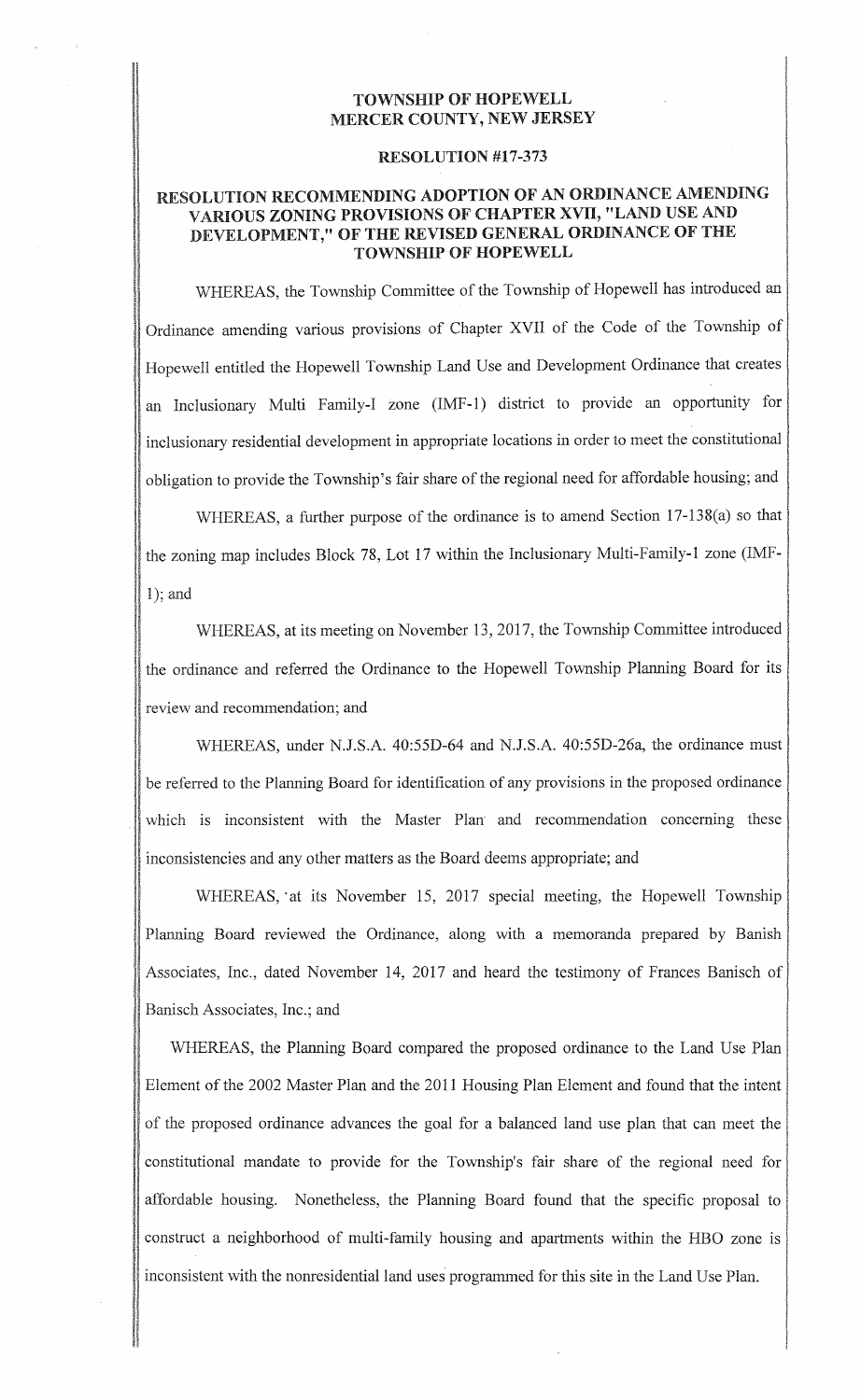### TOWNSHIP OF HOPEWELL MERCER COUNTY, NEW JERSEY

#### RESOLUTION #17-373

# RESOLUTION RECOMMENDING ADOPTION OF AN ORDINANCE AMENDING VARIOUS ZONING PROVISIONS OF CHAPTER XVII, "LAND USE AND DEVELOPMENT," OF THE REVISED GENERAL ORDINANCE OF THE TOWNSHIP OF HOPEWELL

WHEREAS, the Township Committee of the Township of Hopewell has introduced an Ordinance amending various provisions of Chapter XVII of the Code of the Township of Hopewell entitled the Hopewell Township Land Use and Development Ordinance that creates an Inclusionary Multi Family-I zone (IMF-1) district to provide an opportunity for inclusionary residential development in appropriate locations in order to meet the constitutional obligation to provide the Township's fair share of the regional need for affordable housing; and

WHEREAS, a further purpose of the ordinance is to amend Section 17-138(a) so that the zoning map includes Block 78, Lot 17 within the Inclusionary Multi-Family-1 zone (IMF- $1$ ; and

**I** 

I

I *I*<br>Internasional<br>Internasional

WHEREAS, at its meeting on November 13, 2017, the Township Committee introduced the ordinance and referred the Ordinance to the Hopewell Township Planning Board for its review and recommendation; and

WHEREAS, under N.J.S.A. 40:55D-64 and N.J.S.A. 40:55D-26a, the ordinance must <sup>1</sup> 1 I 1  $\parallel$  be referred to the Planning Board for identification of any provisions in the proposed ordinance  $\parallel$ n de la companya de la companya de la companya de la companya de la companya de la companya de la companya de<br>Institución ING KECAMATAN<br>Ing Kabupaten Ing Kabupaten which is inconsistent with the Master Plan and recommendation concerning these inconsistencies and any other matters as the Board deems appropriate; and

1003320000 011209000

> **I**<br>International WHEREAS, at its November 15, 2017 special meeting, the Hopewell Township Planning Board reviewed the Ordinance, along with a memoranda prepared by Banish Associates, Inc., dated November 14, 2017 and heard the testimony of Frances Banisch of Banisch Associates, Inc.; and

WHEREAS, the Planning Board compared the proposed ordinance to the Land Use Plan In the contract of the contract of the contract of the contract of the contract of the contract of the contract of the contract of the contract of the contract of the contract of the contract of the contract of the contrac Element of the 2002 Master Plan and the 2011 Housing Plan Element and found that the intent I of the proposed ordinance advances the goal for a balanced land use plan that can meet the constitutional mandate to provide for the Township's fair share of the regional need for affordable housing. Nonetheless, the Planning Board found that the specific proposal to construct a neighborhood of multi-family housing and apartments within the HBO zone is inconsistent with the nonresidential land uses programmed for this site in the Land Use Plan.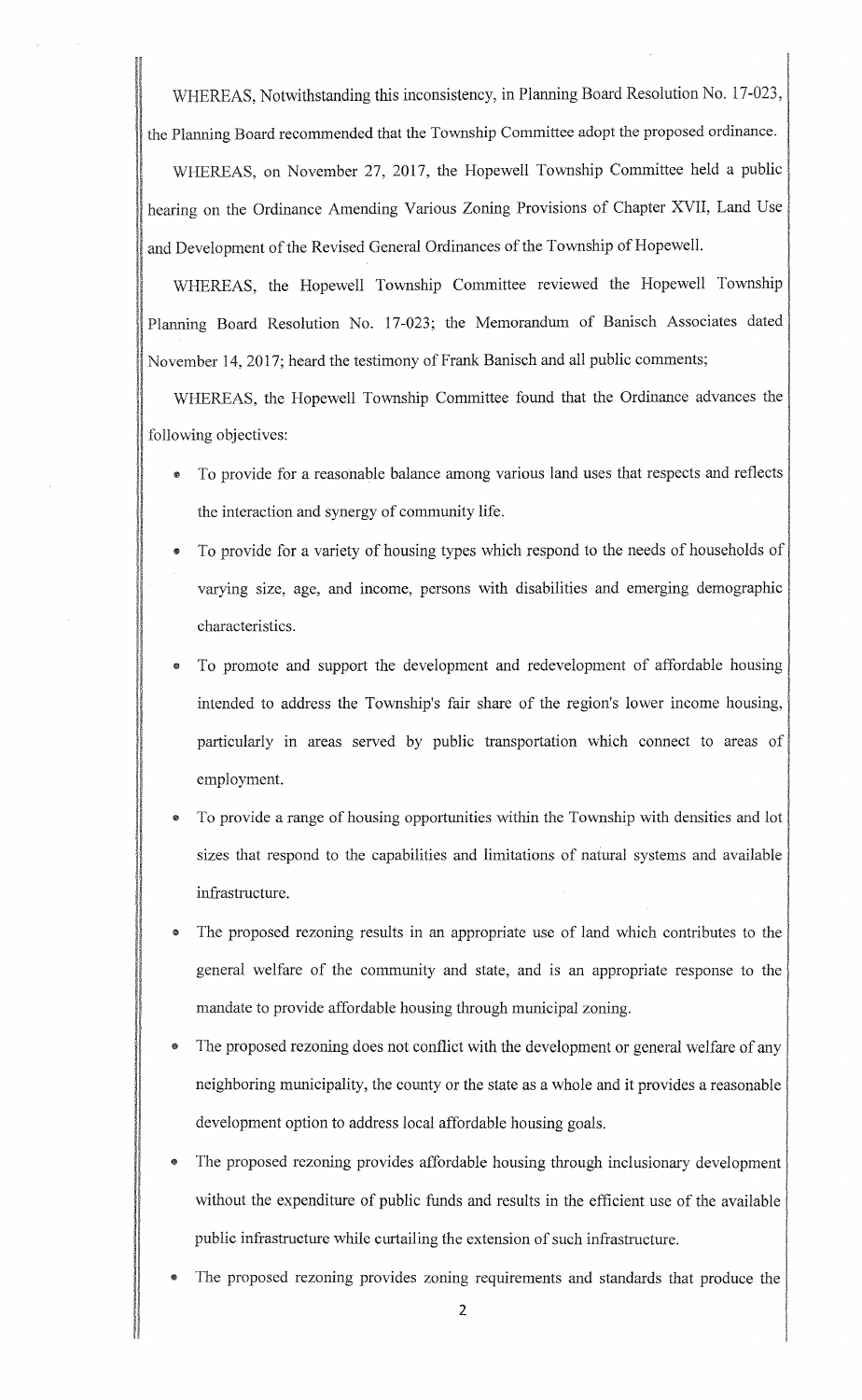WHEREAS, Notwithstanding this inconsistency, in Planning Board Resolution No. 17-023, i<br>International<br>International<br>International the Planning Board recommended that the Township Committee adopt the proposed ordinance.

I

**Income** 

i

**Internet** 

**International Control** 

WHEREAS, on November 27, 2017, the Hopewell Township Committee held a public hearing on the Ordinance Amending Various Zoning Provisions of Chapter XVII, Land Use and Development of the Revised General Ordinances of the Township of Hopewell.

and Development of the Revised General Ordinances of the Township of Hopewell.<br>WHEREAS, the Hopewell Township Committee reviewed the Hopewell Township Planning Board Resolution No. 17-023; the Memorandum of Banisch Associates dated November 14, 2017; heard the testimony of Frank Banisch and all public comments;

WHEREAS, the Hopewell Township Committee found that the Ordinance advances the following objectives:

- To provide for a reasonable balance among various land uses that respects and reflects the interaction and synergy of community life.
- To provide for a variety of housing types which respond to the needs of households of varying size, age, and income, persons with disabilities and emerging demographic characteristics.
- To promote and support the development and redevelopment of affordable housing intended to address the Township's fair share of the region's lower income housing, particularly in areas served by public transportation which connect to areas of employment.
- To provide a range of housing opportunities within the Township with densities and lot sizes that respond to the capabilities and limitations of natural systems and available infrastructure.
- The proposed rezoning results in an appropriate use of land which contributes to the general welfare of the community and state, and is an appropriate response to the mandate to provide affordable housing through municipal zoning.

**INTERNATIONALIST<br>INTERNATIONALIST<br>EXPLORATION** 

11

- The proposed rezoning does not conflict with the development or general welfare of any neighboring municipality, the county or the state as a whole and it provides a reasonable development option to address local affordable housing goals.
- The proposed rezoning provides affordable housing through inclusionary development without the expenditure of public funds and results in the efficient use of the available public infrastructure while curtailing the extension of such infrastructure.
- The proposed rezoning provides zoning requirements and standards that produce the  $\overline{2}$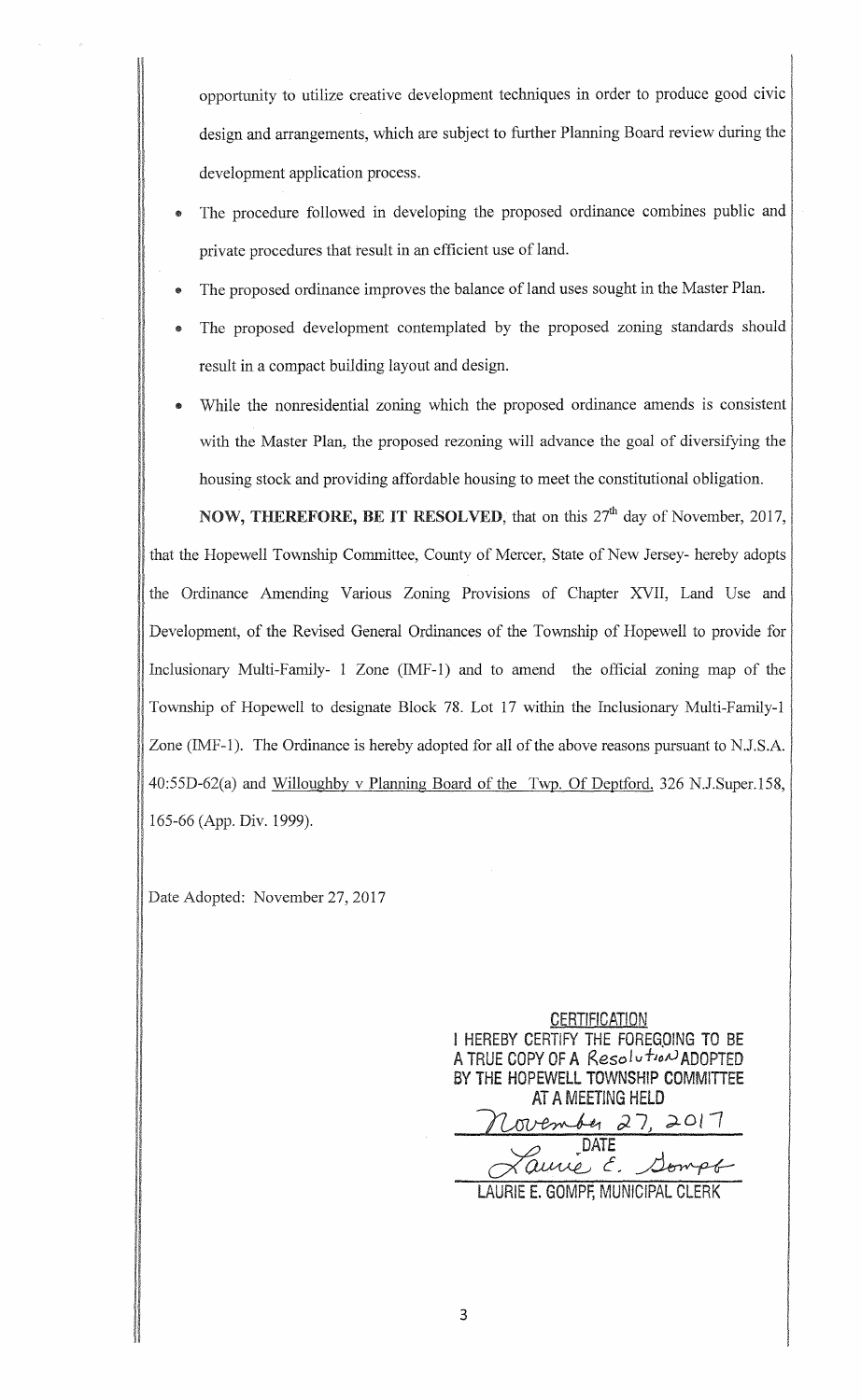opportunity to utilize creative development techniques in order to produce good civic I design and arrangements, which are subject to further Planning Board review during the development application process.

International<br>International

- The procedure followed in developing the proposed ordinance combines public and private procedures that result in an efficient use of land.
- The proposed ordinance improves the balance of land uses sought in the Master Plan.
- The proposed development contemplated by the proposed zoning standards should result in a compact building layout and design.
- While the nonresidential zoning which the proposed ordinance amends is consistent with the Master Plan, the proposed rezoning will advance the goal of diversifying the housing stock and providing affordable housing to meet the constitutional obligation.

NOW, THEREFORE, BE IT RESOLVED, that on this  $27<sup>th</sup>$  day of November, 2017, that the Hopewell Township Committee, County of Mercer, State of New Jersey- hereby adopts the Ordinance Amending Various Zoning Provisions of Chapter XVII, Land Use and Development, of the Revised General Ordinances of the Township of Hopewell to provide for Inclusionary Multi-Family- 1 Zone (IMF-1) and to amend the official zoning map of the **Internet** Township of Hopewell to designate Block 78. Lot 17 within the Inclusionary Multi-Family-I Zone (IMF-1). The Ordinance is hereby adopted for all of the above reasons pursuant to N.J.S.A. 40:55D-62(a) and Willoughby v Planning Board of the Twp. Of Deptford, 326 N.J.Super.158, 165-66 (App. Div. 1999).

Date Adopted: November 27, 2017

## **CERTIFICATION**

I HEREBY CERTIFY THE FOREGOING TO BE<br>A TRUE COPY OF A Resolution ADOPTED<br>BY THE HOPEWELL TOWNSHIP COMMITTEE<br>AT A MEETING HELD<br> $\begin{array}{r} \bigwedge \text{O}} 27,2017 \end{array}$ A TRUE COPY OF A Resolution ADOPTED BY THE HOPEWELL TOWNSHIP COMMITTEE AT A MEETING HELD *;}.* 7, *;).O/* I ~ DATE anne E. So

LAURIE E. GOMPF, MUNICIPAL CLERK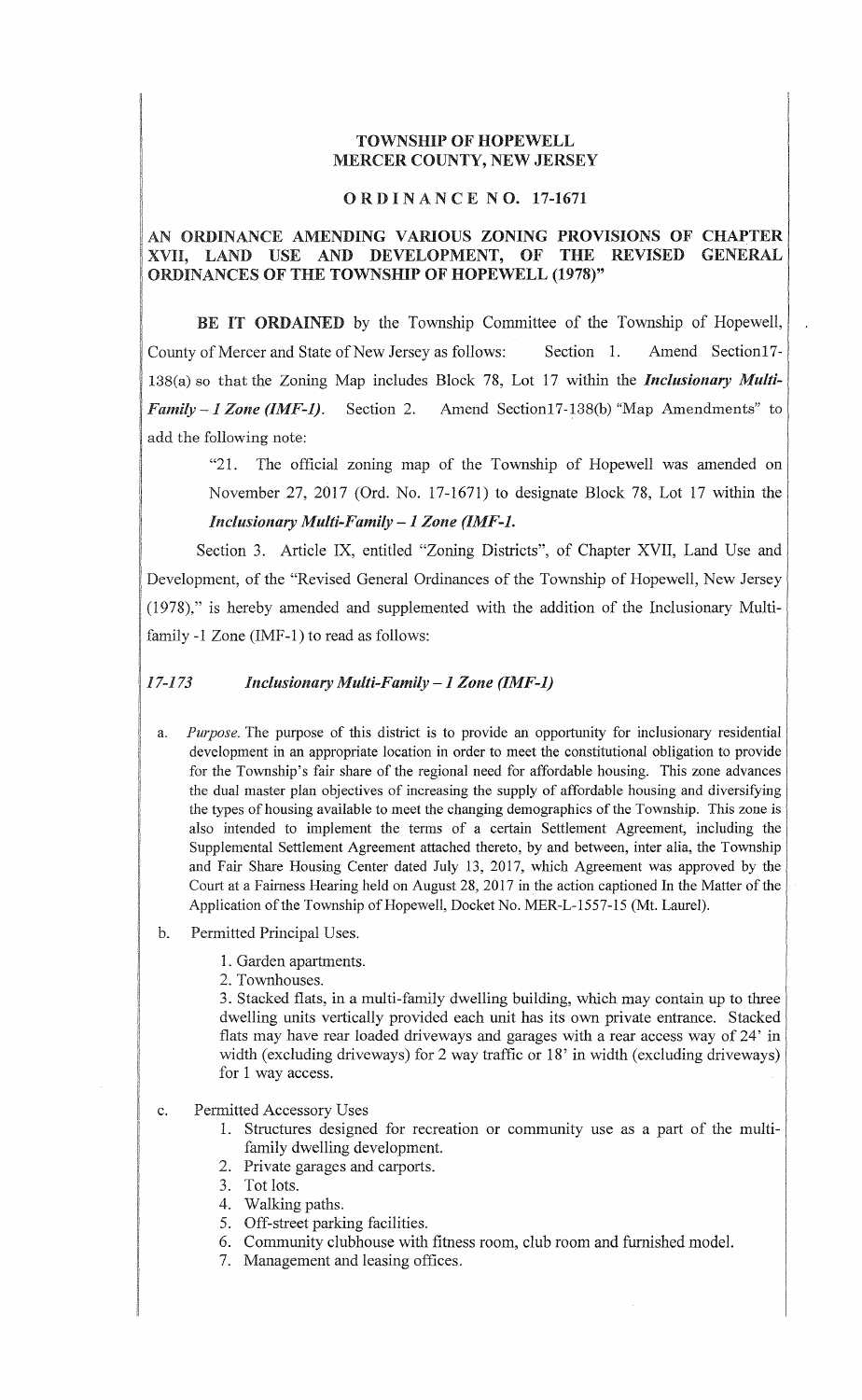# TOWNSHIP OF HOPEWELL MERCER COUNTY, NEW JERSEY

### 0 RD IN AN CE N 0. 17-1671

# AN ORDINANCE AMENDING VARIOUS ZONING PROVISIONS OF CHAPTER XVII, LAND USE AND DEVELOPMENT, OF THE REVISED GENERAL ORDINANCES OF THE TOWNSHIP OF HOPEWELL (1978)"

BE IT ORDAINED by the Township Committee of the Township of Hopewell, County of Mercer and State of New Jersey as follows: Section 1. Amend Section 17-138(a) so that the Zoning Map includes Block 78, Lot 17 within the *Inclusionary Multi*-*Family - 1 Zone (IMF-1).* Section 2. Amend Section17-138(b) "Map Amendments" to add the following note:

"21. The official zoning map of the Township of Hopewell was amended on November 27, 2017 (Ord. No. 17-1671) to designate Block 78, Lot 17 within the *Inclusionary Multi-Family - 1 Zone (IMF-1.* 

Section 3. Article IX, entitled "Zoning Districts", of Chapter XVII, Land Use and / Development, of the "Revised General Ordinances of the Township of Hopewell, New Jersey <sup>~</sup>(1978)," is hereby amended and supplemented with the addition of the Inclusionary Multi- <sup>1</sup> family -1 Zone (IMF-1) to read as follows:

#### *117-173 Inclusionary Multi-Family -1 Zone (IMF-I)*

- $a<sub>1</sub>$ ii . *Purpose*. The purpose of this district is to provide an opportunity for inclusionary residential development in an appropriate location in order to meet the constitutional obligation to provide for the Township's fair share of the regional need for affordable housing. This zone advances the dual master plan objectives of increasing the supply of affordable housing and diversifying the types of housing available to meet the changing demographics of the Township. This zone is also intended to implement the terms of a certain Settlement Agreement, including the Supplemental Settlement Agreement attached thereto, by and between, inter alia, the Township and Fair Share Housing Center dated July 13, 2017, which Agreement was approved by the Court at a Fairness Hearing held on August 28, 2017 in the action captioned In the Matter of the Application of the Township of Hopewell, Docket No. MER-L-1557-15 (Mt. Laurel).
	- b. Permitted Principal Uses.

ij Ii ii

II !i /i rl

!i

p.

11

11 ii I, 'I /, II i. ]j I' 1, II

~

!j

ii

II I! i<br>II II II II<br>II II II II II II

~ "

II

II 11<br>11 I [! ll ! I I 11 !I 11 /1 i II

- 1. Garden apartments.
- 2. Townhouses.

3. Stacked flats, in a multi-family dwelling building, which may contain up to three dwelling units vertically provided each unit has its own private entrance. Stacked flats may have rear loaded driveways and garages with a rear access way of 24' in width (excluding driveways) for 2 way traffic or 18' in width (excluding driveways) for 1 way access.

- $\mathbf{c}$ . Permitted Accessory Uses
	- 1. Structures designed for recreation or community use as a part of the multifamily dwelling development.
	- 2. Private garages and carports.
	- 3. Tot lots.
	- 4. Walking paths.
	- 5. Off-street parking facilities.
	- 6. Community clubhouse with fitness room, club room and furnished model.
	- 7. Management and leasing offices.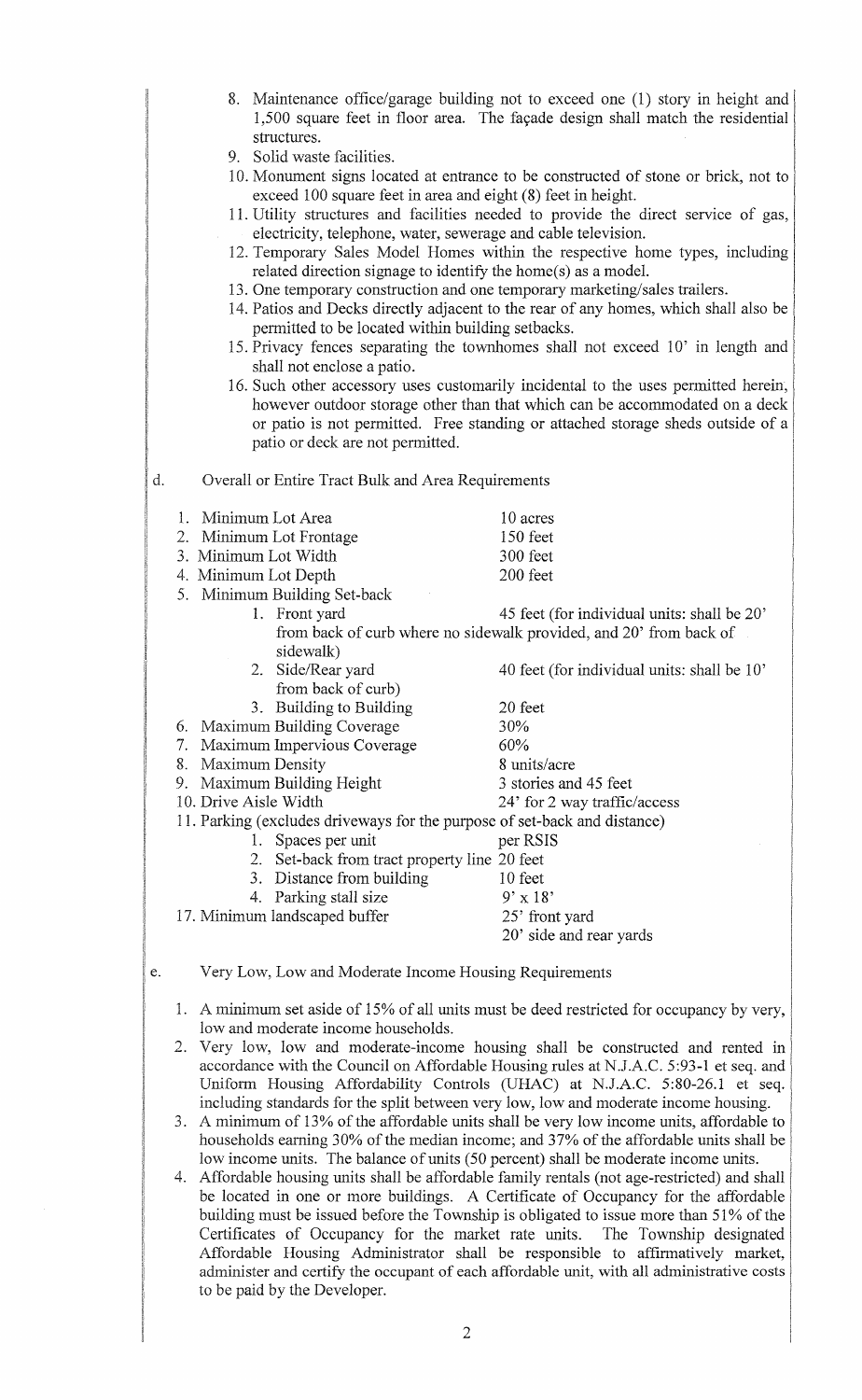|    | 8. Maintenance office/garage building not to exceed one (1) story in height and<br>1,500 square feet in floor area. The façade design shall match the residential<br>structures.<br>9. Solid waste facilities.<br>10. Monument signs located at entrance to be constructed of stone or brick, not to<br>exceed 100 square feet in area and eight (8) feet in height.<br>11. Utility structures and facilities needed to provide the direct service of gas,<br>electricity, telephone, water, sewerage and cable television.<br>12. Temporary Sales Model Homes within the respective home types, including<br>related direction signage to identify the home(s) as a model.<br>13. One temporary construction and one temporary marketing/sales trailers.<br>14. Patios and Decks directly adjacent to the rear of any homes, which shall also be<br>permitted to be located within building setbacks.<br>15. Privacy fences separating the townhomes shall not exceed 10' in length and<br>shall not enclose a patio.<br>16. Such other accessory uses customarily incidental to the uses permitted herein,<br>however outdoor storage other than that which can be accommodated on a deck<br>or patio is not permitted. Free standing or attached storage sheds outside of a<br>patio or deck are not permitted. |                                                                                                                                                                                                                                                                                                                                                                                |  |
|----|--------------------------------------------------------------------------------------------------------------------------------------------------------------------------------------------------------------------------------------------------------------------------------------------------------------------------------------------------------------------------------------------------------------------------------------------------------------------------------------------------------------------------------------------------------------------------------------------------------------------------------------------------------------------------------------------------------------------------------------------------------------------------------------------------------------------------------------------------------------------------------------------------------------------------------------------------------------------------------------------------------------------------------------------------------------------------------------------------------------------------------------------------------------------------------------------------------------------------------------------------------------------------------------------------------------------|--------------------------------------------------------------------------------------------------------------------------------------------------------------------------------------------------------------------------------------------------------------------------------------------------------------------------------------------------------------------------------|--|
| d. | Overall or Entire Tract Bulk and Area Requirements                                                                                                                                                                                                                                                                                                                                                                                                                                                                                                                                                                                                                                                                                                                                                                                                                                                                                                                                                                                                                                                                                                                                                                                                                                                                 |                                                                                                                                                                                                                                                                                                                                                                                |  |
|    | 1. Minimum Lot Area<br>2. Minimum Lot Frontage<br>3. Minimum Lot Width<br>4. Minimum Lot Depth<br>5. Minimum Building Set-back<br>1. Front yard<br>sidewalk)<br>2. Side/Rear yard<br>from back of curb)<br>3. Building to Building<br>6. Maximum Building Coverage<br>7. Maximum Impervious Coverage<br>Maximum Density<br>8.<br>Maximum Building Height<br>9.<br>10. Drive Aisle Width<br>11. Parking (excludes driveways for the purpose of set-back and distance)<br>1. Spaces per unit<br>2. Set-back from tract property line 20 feet<br>3. Distance from building<br>4. Parking stall size<br>17. Minimum landscaped buffer                                                                                                                                                                                                                                                                                                                                                                                                                                                                                                                                                                                                                                                                                  | 10 acres<br>150 feet<br>300 feet<br>200 feet<br>45 feet (for individual units: shall be 20'<br>from back of curb where no sidewalk provided, and 20' from back of<br>40 feet (for individual units: shall be 10'<br>20 feet<br>30%<br>60%<br>8 units/acre<br>3 stories and 45 feet<br>24' for 2 way traffic/access<br>per RSIS<br>10 feet<br>$9' \times 18'$<br>25' front yard |  |
| e. |                                                                                                                                                                                                                                                                                                                                                                                                                                                                                                                                                                                                                                                                                                                                                                                                                                                                                                                                                                                                                                                                                                                                                                                                                                                                                                                    | 20' side and rear yards<br>Very Low, Low and Moderate Income Housing Requirements                                                                                                                                                                                                                                                                                              |  |
|    | A minimum set aside of 15% of all units must be deed restricted for occupancy by very,<br>1.<br>low and moderate income households.<br>2. Very low, low and moderate-income housing shall be constructed and rented in<br>accordance with the Council on Affordable Housing rules at N.J.A.C. 5:93-1 et seq. and<br>Uniform Housing Affordability Controls (UHAC) at N.J.A.C. 5:80-26.1 et seq.<br>including standards for the split between very low, low and moderate income housing.                                                                                                                                                                                                                                                                                                                                                                                                                                                                                                                                                                                                                                                                                                                                                                                                                            |                                                                                                                                                                                                                                                                                                                                                                                |  |

3. A minimum of 13% of the affordable units shall be very low income units, affordable to households earning 30% of the median income; and 37% of the affordable units shall be low income units. The balance of units (50 percent) shall be moderate income units.

\1.

l}

!1 ii 11

i<br>India<br>India<br>India

4. Affordable housing units shall be affordable family rentals (not age-restricted) and shall be located in one or more buildings. A Certificate of Occupancy for the affordable building must be issued before the Township is obligated to issue more than 51% of the Certificates of Occupancy for the market rate units. The Township designated Certificates of Occupancy for the market rate units. Affordable Housing Administrator shall be responsible to affirmatively market, administer and certify the occupant of each affordable unit, with all administrative costs to be paid by the Developer.